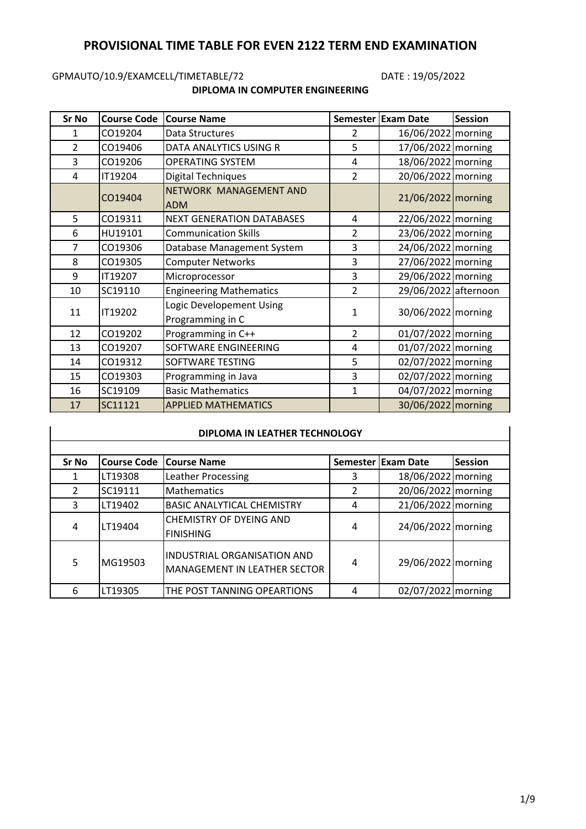# **PROVISIONAL TIME TABLE FOR EVEN 2122 TERM END EXAMINATION**

# GPMAUTO/10.9/EXAMCELL/TIMETABLE/72 DATE : 19/05/2022

#### **DIPLOMA IN COMPUTER ENGINEERING**

| Sr No          | <b>Course Code</b> | <b>Course Name</b>                           |                | Semester Exam Date   | <b>Session</b> |
|----------------|--------------------|----------------------------------------------|----------------|----------------------|----------------|
| 1              | CO19204            | Data Structures                              | 2              | 16/06/2022 morning   |                |
| $\overline{2}$ | CO19406            | DATA ANALYTICS USING R                       | 5              | 17/06/2022 morning   |                |
| 3              | CO19206            | <b>OPERATING SYSTEM</b>                      | 4              | 18/06/2022 morning   |                |
| 4              | IT19204            | <b>Digital Techniques</b>                    | $\overline{2}$ | 20/06/2022 morning   |                |
|                | CO19404            | NETWORK MANAGEMENT AND<br><b>ADM</b>         |                | 21/06/2022 morning   |                |
| 5              | CO19311            | <b>NEXT GENERATION DATABASES</b>             | 4              | 22/06/2022 morning   |                |
| 6              | HU19101            | <b>Communication Skills</b>                  | 2              | 23/06/2022 morning   |                |
| 7              | CO19306            | Database Management System                   | 3              | 24/06/2022 morning   |                |
| 8              | CO19305            | <b>Computer Networks</b>                     | 3              | 27/06/2022 morning   |                |
| 9              | IT19207            | Microprocessor                               | 3              | 29/06/2022 morning   |                |
| 10             | SC19110            | <b>Engineering Mathematics</b>               | 2              | 29/06/2022 afternoon |                |
| 11             | IT19202            | Logic Developement Using<br>Programming in C | 1              | 30/06/2022 morning   |                |
| 12             | CO19202            | Programming in C++                           | 2              | 01/07/2022 morning   |                |
| 13             | CO19207            | SOFTWARE ENGINEERING                         | 4              | 01/07/2022 morning   |                |
| 14             | CO19312            | SOFTWARE TESTING                             | 5              | 02/07/2022 morning   |                |
| 15             | CO19303            | Programming in Java                          | 3              | 02/07/2022 morning   |                |
| 16             | SC19109            | <b>Basic Mathematics</b>                     | 1              | 04/07/2022 morning   |                |
| 17             | SC11121            | <b>APPLIED MATHEMATICS</b>                   |                | 30/06/2022 morning   |                |

#### **DIPLOMA IN LEATHER TECHNOLOGY**

| <b>Sr No</b> | <b>Course Code</b> | <b>Course Name</b>                                                 |   | <b>Semester Exam Date</b> | <b>Session</b> |
|--------------|--------------------|--------------------------------------------------------------------|---|---------------------------|----------------|
|              | LT19308            | Leather Processing                                                 | 3 | 18/06/2022 morning        |                |
| 2            | SC19111            | <b>Mathematics</b>                                                 |   | 20/06/2022 morning        |                |
| 3            | LT19402            | <b>BASIC ANALYTICAL CHEMISTRY</b>                                  | 4 | 21/06/2022 morning        |                |
| 4            | LT19404            | <b>CHEMISTRY OF DYEING AND</b><br><b>FINISHING</b>                 | 4 | 24/06/2022 morning        |                |
| 5            | MG19503            | <b>INDUSTRIAL ORGANISATION AND</b><br>MANAGEMENT IN LEATHER SECTOR | 4 | 29/06/2022 morning        |                |
| 6            | LT19305            | THE POST TANNING OPEARTIONS                                        | 4 | 02/07/2022 morning        |                |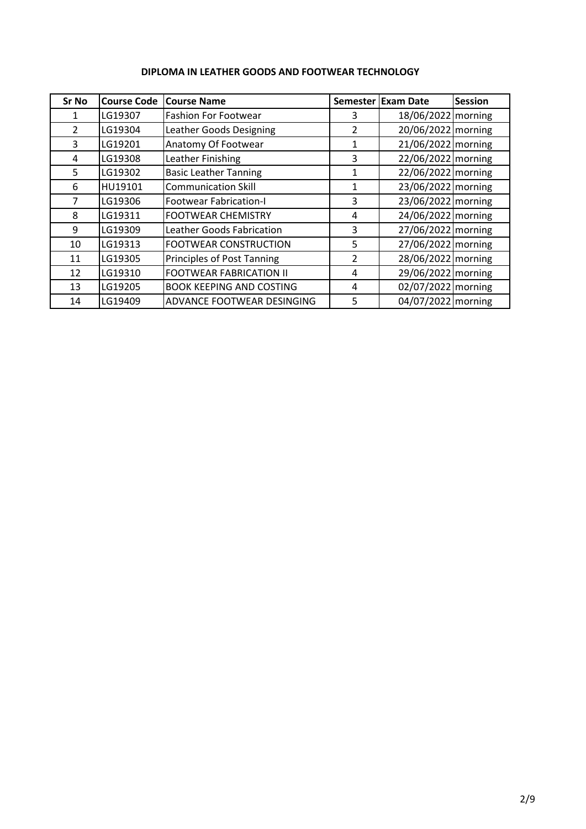| Sr No | <b>Course Code</b> | <b>Course Name</b>              | <b>Semester</b> | <b>Exam Date</b>     | <b>Session</b> |
|-------|--------------------|---------------------------------|-----------------|----------------------|----------------|
|       | LG19307            | <b>Fashion For Footwear</b>     | 3               | 18/06/2022   morning |                |
| 2     | LG19304            | Leather Goods Designing         | 2               | 20/06/2022 morning   |                |
| 3     | LG19201            | Anatomy Of Footwear             | 1               | 21/06/2022 morning   |                |
| 4     | LG19308            | Leather Finishing               | 3               | 22/06/2022 morning   |                |
| 5.    | LG19302            | <b>Basic Leather Tanning</b>    | 1               | 22/06/2022 morning   |                |
| 6     | HU19101            | <b>Communication Skill</b>      | 1               | 23/06/2022 morning   |                |
| 7     | LG19306            | <b>Footwear Fabrication-I</b>   | 3               | 23/06/2022 morning   |                |
| 8     | LG19311            | <b>FOOTWEAR CHEMISTRY</b>       | 4               | 24/06/2022 morning   |                |
| 9     | LG19309            | Leather Goods Fabrication       | 3               | 27/06/2022 morning   |                |
| 10    | LG19313            | <b>FOOTWEAR CONSTRUCTION</b>    | 5               | 27/06/2022 morning   |                |
| 11    | LG19305            | Principles of Post Tanning      | 2               | 28/06/2022 morning   |                |
| 12    | LG19310            | <b>FOOTWEAR FABRICATION II</b>  | 4               | 29/06/2022 morning   |                |
| 13    | LG19205            | <b>BOOK KEEPING AND COSTING</b> | 4               | 02/07/2022 morning   |                |
| 14    | LG19409            | ADVANCE FOOTWEAR DESINGING      | 5               | 04/07/2022 morning   |                |

## **DIPLOMA IN LEATHER GOODS AND FOOTWEAR TECHNOLOGY**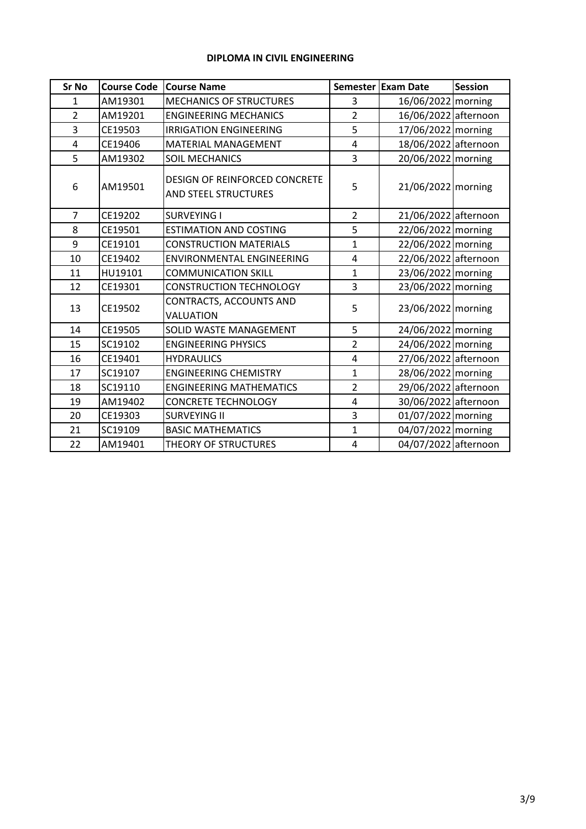#### **DIPLOMA IN CIVIL ENGINEERING**

| <b>Sr No</b>   | <b>Course Code</b> | <b>Course Name</b>                                                  |                | Semester Exam Date   | <b>Session</b> |
|----------------|--------------------|---------------------------------------------------------------------|----------------|----------------------|----------------|
| $\mathbf{1}$   | AM19301            | <b>MECHANICS OF STRUCTURES</b>                                      | 3              | 16/06/2022 morning   |                |
| $\overline{2}$ | AM19201            | <b>ENGINEERING MECHANICS</b>                                        | $\overline{2}$ | 16/06/2022 afternoon |                |
| 3              | CE19503            | <b>IRRIGATION ENGINEERING</b>                                       | 5              | 17/06/2022 morning   |                |
| $\overline{4}$ | CE19406            | <b>MATERIAL MANAGEMENT</b>                                          | 4              | 18/06/2022 afternoon |                |
| 5              | AM19302            | <b>SOIL MECHANICS</b>                                               | 3              | 20/06/2022 morning   |                |
| 6              | AM19501            | <b>DESIGN OF REINFORCED CONCRETE</b><br><b>AND STEEL STRUCTURES</b> | 5              | 21/06/2022 morning   |                |
| $\overline{7}$ | CE19202            | <b>SURVEYING I</b>                                                  | $\overline{2}$ | 21/06/2022 afternoon |                |
| 8              | CE19501            | <b>ESTIMATION AND COSTING</b>                                       | 5              | 22/06/2022 morning   |                |
| 9              | CE19101            | <b>CONSTRUCTION MATERIALS</b>                                       | $\mathbf{1}$   | 22/06/2022 morning   |                |
| 10             | CE19402            | <b>ENVIRONMENTAL ENGINEERING</b>                                    | 4              | 22/06/2022 afternoon |                |
| 11             | HU19101            | <b>COMMUNICATION SKILL</b>                                          | $\mathbf{1}$   | 23/06/2022 morning   |                |
| 12             | CE19301            | <b>CONSTRUCTION TECHNOLOGY</b>                                      | 3              | 23/06/2022 morning   |                |
| 13             | CE19502            | CONTRACTS, ACCOUNTS AND<br>VALUATION                                | 5              | 23/06/2022 morning   |                |
| 14             | CE19505            | SOLID WASTE MANAGEMENT                                              | 5              | 24/06/2022   morning |                |
| 15             | SC19102            | <b>ENGINEERING PHYSICS</b>                                          | $\overline{2}$ | 24/06/2022 morning   |                |
| 16             | CE19401            | <b>HYDRAULICS</b>                                                   | 4              | 27/06/2022 afternoon |                |
| 17             | SC19107            | <b>ENGINEERING CHEMISTRY</b>                                        | $\mathbf{1}$   | 28/06/2022 morning   |                |
| 18             | SC19110            | <b>ENGINEERING MATHEMATICS</b>                                      | $\overline{2}$ | 29/06/2022 afternoon |                |
| 19             | AM19402            | <b>CONCRETE TECHNOLOGY</b>                                          | 4              | 30/06/2022 afternoon |                |
| 20             | CE19303            | <b>SURVEYING II</b>                                                 | 3              | 01/07/2022 morning   |                |
| 21             | SC19109            | <b>BASIC MATHEMATICS</b>                                            | $\mathbf{1}$   | 04/07/2022 morning   |                |
| 22             | AM19401            | THEORY OF STRUCTURES                                                | 4              | 04/07/2022 afternoon |                |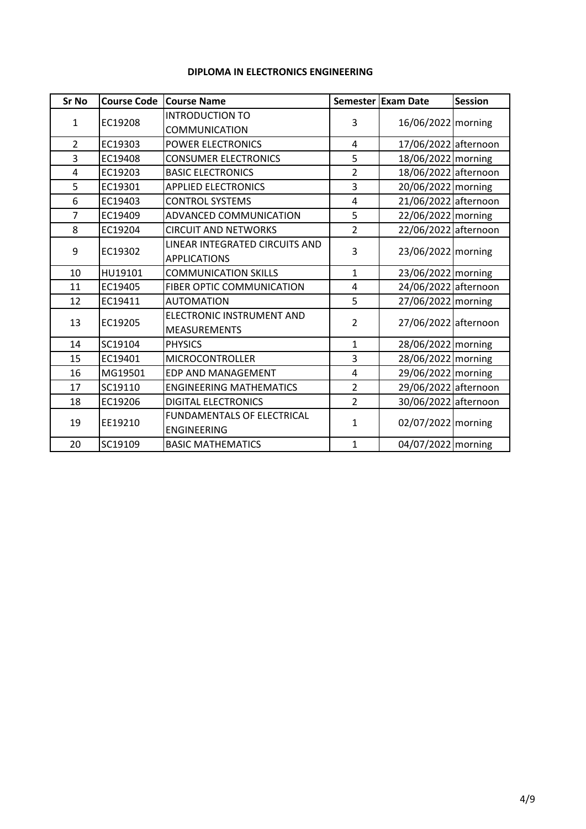## **DIPLOMA IN ELECTRONICS ENGINEERING**

| <b>Sr No</b>   | <b>Course Code</b> | <b>Course Name</b>                               |                | Semester Exam Date   | <b>Session</b> |
|----------------|--------------------|--------------------------------------------------|----------------|----------------------|----------------|
|                |                    | <b>INTRODUCTION TO</b>                           |                |                      |                |
| $\mathbf{1}$   | EC19208            | <b>COMMUNICATION</b>                             | 3              | 16/06/2022 morning   |                |
| $\overline{2}$ | EC19303            | <b>POWER ELECTRONICS</b>                         | 4              | 17/06/2022 afternoon |                |
| 3              | EC19408            | <b>CONSUMER ELECTRONICS</b>                      | 5              | 18/06/2022 morning   |                |
| 4              | EC19203            | <b>BASIC ELECTRONICS</b>                         | $\overline{2}$ | 18/06/2022 afternoon |                |
| 5              | EC19301            | <b>APPLIED ELECTRONICS</b>                       | 3              | 20/06/2022 morning   |                |
| 6              | EC19403            | <b>CONTROL SYSTEMS</b>                           | 4              | 21/06/2022 afternoon |                |
| $\overline{7}$ | EC19409            | ADVANCED COMMUNICATION                           | 5              | 22/06/2022 morning   |                |
| 8              | EC19204            | <b>CIRCUIT AND NETWORKS</b>                      | $\overline{2}$ | 22/06/2022 afternoon |                |
|                | EC19302            | <b>LINEAR INTEGRATED CIRCUITS AND</b>            | 3              | 23/06/2022 morning   |                |
| 9              |                    | <b>APPLICATIONS</b>                              |                |                      |                |
| 10             | HU19101            | <b>COMMUNICATION SKILLS</b>                      | $\mathbf{1}$   | 23/06/2022 morning   |                |
| 11             | EC19405            | <b>FIBER OPTIC COMMUNICATION</b>                 | 4              | 24/06/2022 afternoon |                |
| 12             | EC19411            | <b>AUTOMATION</b>                                | 5              | 27/06/2022 morning   |                |
| 13             | EC19205            | ELECTRONIC INSTRUMENT AND<br><b>MEASUREMENTS</b> | $\overline{2}$ | 27/06/2022 afternoon |                |
| 14             | SC19104            | <b>PHYSICS</b>                                   | $\mathbf{1}$   | 28/06/2022 morning   |                |
| 15             | EC19401            | <b>MICROCONTROLLER</b>                           | 3              | 28/06/2022 morning   |                |
| 16             | MG19501            | EDP AND MANAGEMENT                               | 4              | 29/06/2022 morning   |                |
| 17             | SC19110            | <b>ENGINEERING MATHEMATICS</b>                   | $\overline{2}$ | 29/06/2022 afternoon |                |
| 18             | EC19206            | <b>DIGITAL ELECTRONICS</b>                       | $\overline{2}$ | 30/06/2022 afternoon |                |
|                |                    | <b>FUNDAMENTALS OF ELECTRICAL</b>                |                |                      |                |
| 19             | EE19210            | <b>ENGINEERING</b>                               | $\mathbf{1}$   | 02/07/2022 morning   |                |
| 20             | SC19109            | <b>BASIC MATHEMATICS</b>                         | $\mathbf{1}$   | 04/07/2022   morning |                |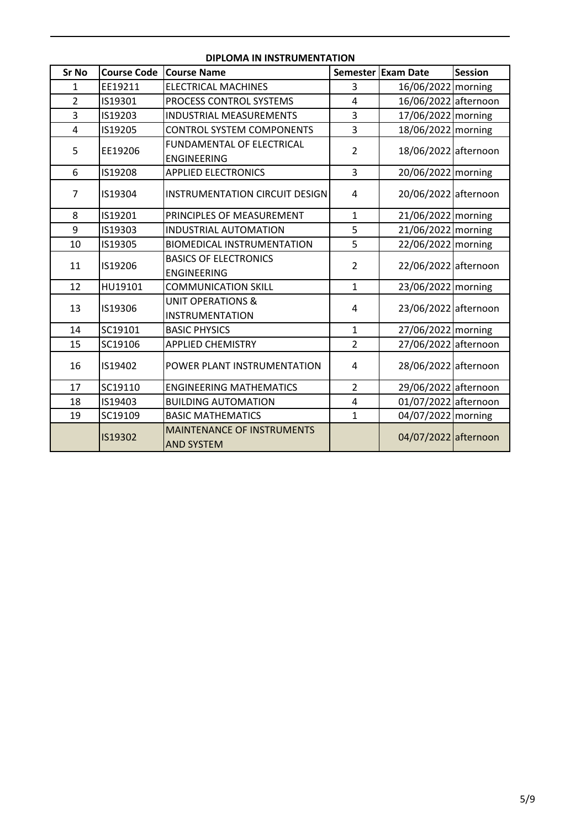| <b>Sr No</b>   | <b>Course Code</b> | <b>Course Name</b>                    | <b>Semester</b> | <b>Exam Date</b>     | <b>Session</b> |
|----------------|--------------------|---------------------------------------|-----------------|----------------------|----------------|
| 1              | EE19211            | <b>ELECTRICAL MACHINES</b>            | 3               | 16/06/2022 morning   |                |
| $\overline{2}$ | IS19301            | PROCESS CONTROL SYSTEMS               | $\overline{4}$  | 16/06/2022 afternoon |                |
| 3              | IS19203            | <b>INDUSTRIAL MEASUREMENTS</b>        | 3               | 17/06/2022 morning   |                |
| $\overline{4}$ | IS19205            | <b>CONTROL SYSTEM COMPONENTS</b>      | 3               | 18/06/2022 morning   |                |
|                |                    | FUNDAMENTAL OF ELECTRICAL             | $\overline{2}$  |                      |                |
| 5<br>EE19206   |                    | <b>ENGINEERING</b>                    |                 | 18/06/2022 afternoon |                |
| 6              | IS19208            | <b>APPLIED ELECTRONICS</b>            | 3               | 20/06/2022 morning   |                |
| 7              | IS19304            | <b>INSTRUMENTATION CIRCUIT DESIGN</b> | 4               | 20/06/2022 afternoon |                |
| 8              | IS19201            | PRINCIPLES OF MEASUREMENT             | $\mathbf{1}$    | 21/06/2022 morning   |                |
| 9              | IS19303            | <b>INDUSTRIAL AUTOMATION</b>          | 5               | 21/06/2022 morning   |                |
| 10             | IS19305            | <b>BIOMEDICAL INSTRUMENTATION</b>     | 5               | 22/06/2022 morning   |                |
| 11             | IS19206            | <b>BASICS OF ELECTRONICS</b>          | $\overline{2}$  | 22/06/2022 afternoon |                |
|                |                    | <b>ENGINEERING</b>                    |                 |                      |                |
| 12             | HU19101            | <b>COMMUNICATION SKILL</b>            | $\mathbf{1}$    | 23/06/2022 morning   |                |
| 13             | IS19306            | <b>UNIT OPERATIONS &amp;</b>          | 4               | 23/06/2022 afternoon |                |
|                |                    | <b>INSTRUMENTATION</b>                |                 |                      |                |
| 14             | SC19101            | <b>BASIC PHYSICS</b>                  | $\mathbf{1}$    | 27/06/2022 morning   |                |
| 15             | SC19106            | <b>APPLIED CHEMISTRY</b>              | $\overline{2}$  | 27/06/2022 afternoon |                |
| 16             | IS19402            | POWER PLANT INSTRUMENTATION           | 4               | 28/06/2022 afternoon |                |
| 17             | SC19110            | <b>ENGINEERING MATHEMATICS</b>        | $\overline{2}$  | 29/06/2022 afternoon |                |
| 18             | IS19403            | <b>BUILDING AUTOMATION</b>            | 4               | 01/07/2022 afternoon |                |
| 19             | SC19109            | <b>BASIC MATHEMATICS</b>              | $\mathbf{1}$    | 04/07/2022 morning   |                |
|                |                    | <b>MAINTENANCE OF INSTRUMENTS</b>     |                 | 04/07/2022 afternoon |                |
|                | IS19302            | <b>AND SYSTEM</b>                     |                 |                      |                |

#### **DIPLOMA IN INSTRUMENTATION**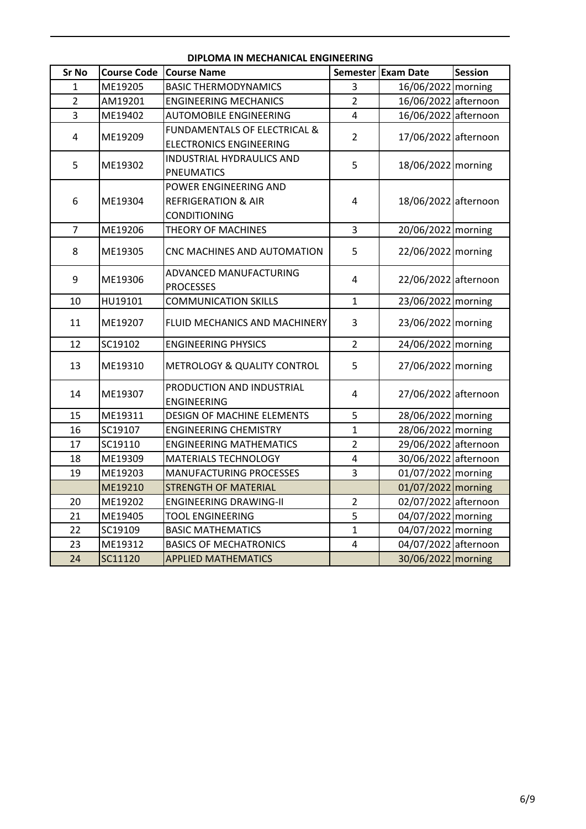| <b>Sr No</b>   | <b>Course Code</b> | <b>Course Name</b>                      |                | Semester Exam Date   | Session |
|----------------|--------------------|-----------------------------------------|----------------|----------------------|---------|
| 1              | ME19205            | <b>BASIC THERMODYNAMICS</b>             | 3              | 16/06/2022 morning   |         |
| $\overline{2}$ | AM19201            | <b>ENGINEERING MECHANICS</b>            | $\overline{2}$ | 16/06/2022 afternoon |         |
| 3              | ME19402            | <b>AUTOMOBILE ENGINEERING</b>           | 4              | 16/06/2022 afternoon |         |
|                | ME19209            | <b>FUNDAMENTALS OF ELECTRICAL &amp;</b> | $\overline{2}$ |                      |         |
| 4              |                    | <b>ELECTRONICS ENGINEERING</b>          |                | 17/06/2022 afternoon |         |
| 5              | ME19302            | INDUSTRIAL HYDRAULICS AND               | 5              | 18/06/2022 morning   |         |
|                |                    | <b>PNEUMATICS</b>                       |                |                      |         |
|                |                    | POWER ENGINEERING AND                   |                |                      |         |
| 6              | ME19304            | <b>REFRIGERATION &amp; AIR</b>          | 4              | 18/06/2022 afternoon |         |
|                |                    | <b>CONDITIONING</b>                     |                |                      |         |
| $\overline{7}$ | ME19206            | THEORY OF MACHINES                      | 3              | 20/06/2022 morning   |         |
| 8              | ME19305            | CNC MACHINES AND AUTOMATION             | 5              | 22/06/2022 morning   |         |
|                |                    |                                         |                |                      |         |
| 9              | ME19306            | ADVANCED MANUFACTURING                  | 4              | 22/06/2022 afternoon |         |
|                |                    | <b>PROCESSES</b>                        |                |                      |         |
| 10             | HU19101            | <b>COMMUNICATION SKILLS</b>             | $\mathbf{1}$   | 23/06/2022 morning   |         |
| 11             | ME19207            | FLUID MECHANICS AND MACHINERY           | 3              | 23/06/2022 morning   |         |
| 12             | SC19102            | <b>ENGINEERING PHYSICS</b>              | $\overline{2}$ | 24/06/2022 morning   |         |
| 13             | ME19310            | METROLOGY & QUALITY CONTROL             | 5              | 27/06/2022 morning   |         |
|                |                    | PRODUCTION AND INDUSTRIAL               |                |                      |         |
| 14             | ME19307            | <b>ENGINEERING</b>                      | 4              | 27/06/2022 afternoon |         |
| 15             | ME19311            | <b>DESIGN OF MACHINE ELEMENTS</b>       | 5              | 28/06/2022 morning   |         |
| 16             | SC19107            | <b>ENGINEERING CHEMISTRY</b>            | $\mathbf{1}$   | 28/06/2022 morning   |         |
| 17             | SC19110            | <b>ENGINEERING MATHEMATICS</b>          | $\overline{2}$ | 29/06/2022 afternoon |         |
| 18             | ME19309            | <b>MATERIALS TECHNOLOGY</b>             | 4              | 30/06/2022 afternoon |         |
| 19             | ME19203            | <b>MANUFACTURING PROCESSES</b>          | 3              | 01/07/2022 morning   |         |
|                | ME19210            | <b>STRENGTH OF MATERIAL</b>             |                | 01/07/2022 morning   |         |
| 20             | ME19202            | <b>ENGINEERING DRAWING-II</b>           | $\overline{2}$ | 02/07/2022 afternoon |         |
| 21             | ME19405            | <b>TOOL ENGINEERING</b>                 | 5              | 04/07/2022 morning   |         |
| 22             | SC19109            | <b>BASIC MATHEMATICS</b>                | $\mathbf{1}$   | 04/07/2022 morning   |         |
| 23             | ME19312            | <b>BASICS OF MECHATRONICS</b>           | 4              | 04/07/2022 afternoon |         |
| 24             | SC11120            | <b>APPLIED MATHEMATICS</b>              |                | 30/06/2022 morning   |         |

### **DIPLOMA IN MECHANICAL ENGINEERING**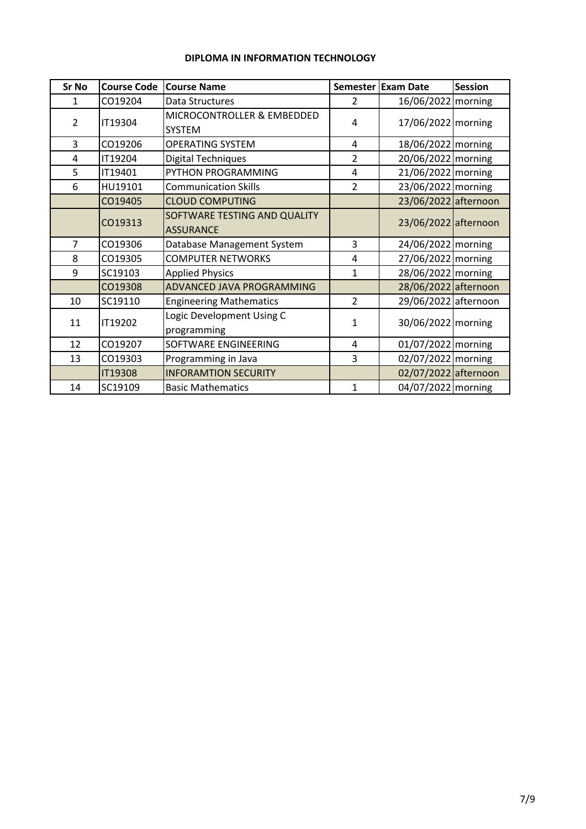| <b>Sr No</b>   | <b>Course Code</b> | <b>Course Name</b>                               | <b>Semester</b> | <b>Exam Date</b>     | <b>Session</b> |
|----------------|--------------------|--------------------------------------------------|-----------------|----------------------|----------------|
| 1              | CO19204            | Data Structures                                  | 2               | 16/06/2022   morning |                |
| $\overline{2}$ | IT19304            | MICROCONTROLLER & EMBEDDED<br><b>SYSTEM</b>      | 4               | 17/06/2022 morning   |                |
| 3              | CO19206            | <b>OPERATING SYSTEM</b>                          | 4               | 18/06/2022 morning   |                |
| 4              | IT19204            | <b>Digital Techniques</b>                        | $\overline{2}$  | 20/06/2022 morning   |                |
| 5              | IT19401            | PYTHON PROGRAMMING                               | 4               | 21/06/2022 morning   |                |
| 6              | HU19101            | <b>Communication Skills</b>                      | $\overline{2}$  | 23/06/2022 morning   |                |
|                | CO19405            | <b>CLOUD COMPUTING</b>                           |                 | 23/06/2022 afternoon |                |
|                | CO19313            | SOFTWARE TESTING AND QUALITY<br><b>ASSURANCE</b> |                 | 23/06/2022 afternoon |                |
| 7              | CO19306            | Database Management System                       | 3               | 24/06/2022 morning   |                |
| 8              | CO19305            | <b>COMPUTER NETWORKS</b>                         | 4               | 27/06/2022 morning   |                |
| 9              | SC19103            | <b>Applied Physics</b>                           | $\mathbf{1}$    | 28/06/2022 morning   |                |
|                | CO19308            | ADVANCED JAVA PROGRAMMING                        |                 | 28/06/2022 afternoon |                |
| 10             | SC19110            | <b>Engineering Mathematics</b>                   | $\overline{2}$  | 29/06/2022 afternoon |                |
| 11             | IT19202            | Logic Development Using C<br>programming         | $\mathbf{1}$    | 30/06/2022 morning   |                |
| 12             | CO19207            | SOFTWARE ENGINEERING                             | 4               | 01/07/2022 morning   |                |
| 13             | CO19303            | Programming in Java                              | 3               | 02/07/2022 morning   |                |
|                | <b>IT19308</b>     | <b>INFORAMTION SECURITY</b>                      |                 | 02/07/2022 afternoon |                |
| 14             | SC19109            | <b>Basic Mathematics</b>                         | 1               | 04/07/2022 morning   |                |

#### **DIPLOMA IN INFORMATION TECHNOLOGY**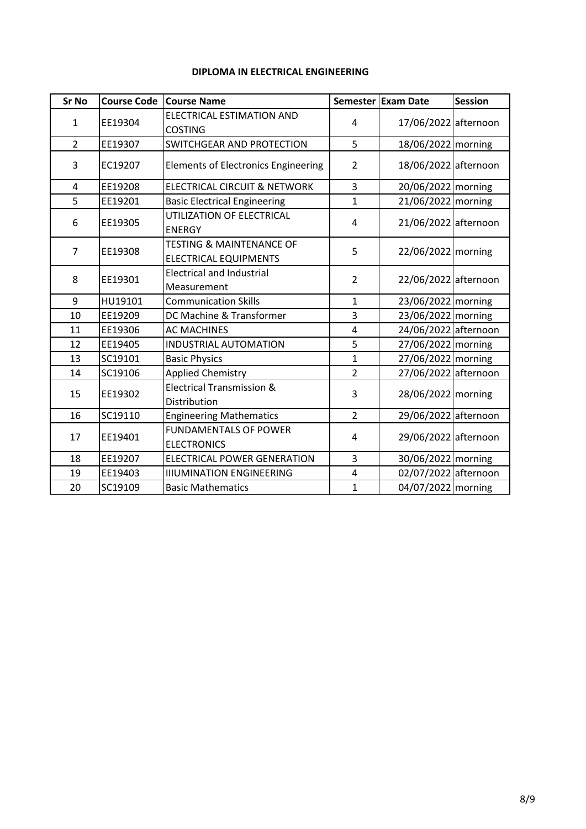| Sr No          | <b>Course Code</b> | <b>Course Name</b>                                                  |                | Semester Exam Date   | <b>Session</b> |
|----------------|--------------------|---------------------------------------------------------------------|----------------|----------------------|----------------|
| $\mathbf{1}$   | EE19304            | <b>ELECTRICAL ESTIMATION AND</b><br><b>COSTING</b>                  | 4              | 17/06/2022 afternoon |                |
| $\overline{2}$ | EE19307            | <b>SWITCHGEAR AND PROTECTION</b>                                    | 5              | 18/06/2022 morning   |                |
| 3              | EC19207            | <b>Elements of Electronics Engineering</b>                          | $\overline{2}$ | 18/06/2022 afternoon |                |
| 4              | EE19208            | <b>ELECTRICAL CIRCUIT &amp; NETWORK</b>                             | 3              | 20/06/2022 morning   |                |
| 5              | EE19201            | <b>Basic Electrical Engineering</b>                                 | $\mathbf{1}$   | 21/06/2022 morning   |                |
| 6              | EE19305            | UTILIZATION OF ELECTRICAL<br><b>ENERGY</b>                          | 4              | 21/06/2022 afternoon |                |
| $\overline{7}$ | EE19308            | <b>TESTING &amp; MAINTENANCE OF</b><br><b>ELECTRICAL EQUIPMENTS</b> | 5              | 22/06/2022 morning   |                |
| 8              | EE19301            | <b>Electrical and Industrial</b><br>Measurement                     | $\overline{2}$ | 22/06/2022 afternoon |                |
| 9              | HU19101            | <b>Communication Skills</b>                                         | $\mathbf{1}$   | 23/06/2022   morning |                |
| 10             | EE19209            | DC Machine & Transformer                                            | 3              | 23/06/2022 morning   |                |
| 11             | EE19306            | <b>AC MACHINES</b>                                                  | $\overline{4}$ | 24/06/2022 afternoon |                |
| 12             | EE19405            | <b>INDUSTRIAL AUTOMATION</b>                                        | 5              | 27/06/2022 morning   |                |
| 13             | SC19101            | <b>Basic Physics</b>                                                | $\overline{1}$ | 27/06/2022 morning   |                |
| 14             | SC19106            | <b>Applied Chemistry</b>                                            | $\overline{2}$ | 27/06/2022 afternoon |                |
| 15             | EE19302            | <b>Electrical Transmission &amp;</b><br>Distribution                | 3              | 28/06/2022 morning   |                |
| 16             | SC19110            | <b>Engineering Mathematics</b>                                      | $\overline{2}$ | 29/06/2022 afternoon |                |
| 17             | EE19401            | <b>FUNDAMENTALS OF POWER</b><br><b>ELECTRONICS</b>                  | 4              | 29/06/2022 afternoon |                |
| 18             | EE19207            | <b>ELECTRICAL POWER GENERATION</b>                                  | 3              | 30/06/2022   morning |                |
| 19             | EE19403            | <b>IIIUMINATION ENGINEERING</b>                                     | $\overline{4}$ | 02/07/2022 afternoon |                |
| 20             | SC19109            | <b>Basic Mathematics</b>                                            | $\mathbf{1}$   | 04/07/2022 morning   |                |